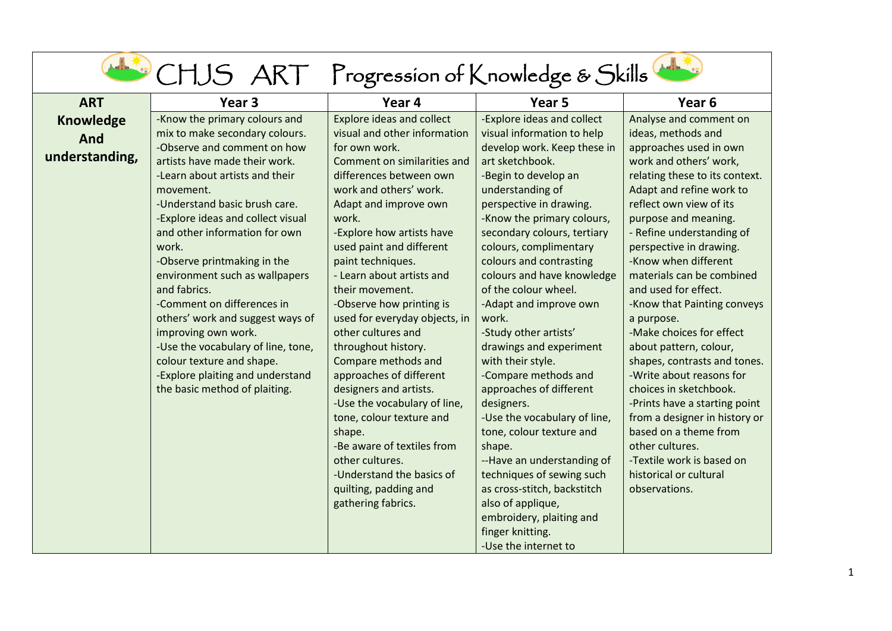| Analyse and comment on<br>approaches used in own<br>work and others' work,<br>relating these to its context.<br>Adapt and refine work to<br>reflect own view of its<br>purpose and meaning.<br>- Refine understanding of<br>perspective in drawing.<br>-Know when different<br>materials can be combined<br>-Know that Painting conveys<br>-Make choices for effect<br>about pattern, colour,<br>shapes, contrasts and tones.<br>-Write about reasons for<br>choices in sketchbook.<br>-Prints have a starting point<br>from a designer in history or<br>based on a theme from<br>-Textile work is based on |
|-------------------------------------------------------------------------------------------------------------------------------------------------------------------------------------------------------------------------------------------------------------------------------------------------------------------------------------------------------------------------------------------------------------------------------------------------------------------------------------------------------------------------------------------------------------------------------------------------------------|
|                                                                                                                                                                                                                                                                                                                                                                                                                                                                                                                                                                                                             |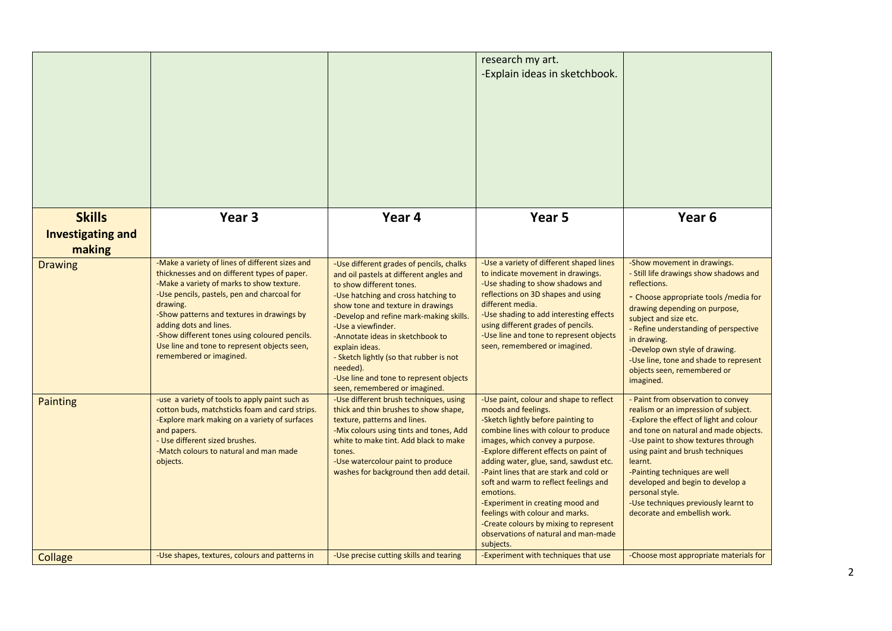|                                                     |                                                                                                                                                                                                                                                                                                                                                                                                             |                                                                                                                                                                                                                                                                                                                                                                                                                                                       | research my art.<br>-Explain ideas in sketchbook.                                                                                                                                                                                                                                                                                                                                                                                                                                                                                          |                                                                                                                                                                                                                                                                                                                                                                                                                      |
|-----------------------------------------------------|-------------------------------------------------------------------------------------------------------------------------------------------------------------------------------------------------------------------------------------------------------------------------------------------------------------------------------------------------------------------------------------------------------------|-------------------------------------------------------------------------------------------------------------------------------------------------------------------------------------------------------------------------------------------------------------------------------------------------------------------------------------------------------------------------------------------------------------------------------------------------------|--------------------------------------------------------------------------------------------------------------------------------------------------------------------------------------------------------------------------------------------------------------------------------------------------------------------------------------------------------------------------------------------------------------------------------------------------------------------------------------------------------------------------------------------|----------------------------------------------------------------------------------------------------------------------------------------------------------------------------------------------------------------------------------------------------------------------------------------------------------------------------------------------------------------------------------------------------------------------|
| <b>Skills</b><br><b>Investigating and</b><br>making | Year <sub>3</sub>                                                                                                                                                                                                                                                                                                                                                                                           | Year 4                                                                                                                                                                                                                                                                                                                                                                                                                                                | Year <sub>5</sub>                                                                                                                                                                                                                                                                                                                                                                                                                                                                                                                          | Year <sub>6</sub>                                                                                                                                                                                                                                                                                                                                                                                                    |
| <b>Drawing</b>                                      | -Make a variety of lines of different sizes and<br>thicknesses and on different types of paper.<br>-Make a variety of marks to show texture.<br>-Use pencils, pastels, pen and charcoal for<br>drawing.<br>-Show patterns and textures in drawings by<br>adding dots and lines.<br>-Show different tones using coloured pencils.<br>Use line and tone to represent objects seen,<br>remembered or imagined. | -Use different grades of pencils, chalks<br>and oil pastels at different angles and<br>to show different tones.<br>-Use hatching and cross hatching to<br>show tone and texture in drawings<br>-Develop and refine mark-making skills.<br>-Use a viewfinder.<br>-Annotate ideas in sketchbook to<br>explain ideas.<br>- Sketch lightly (so that rubber is not<br>needed).<br>-Use line and tone to represent objects<br>seen, remembered or imagined. | -Use a variety of different shaped lines<br>to indicate movement in drawings.<br>-Use shading to show shadows and<br>reflections on 3D shapes and using<br>different media.<br>-Use shading to add interesting effects<br>using different grades of pencils.<br>-Use line and tone to represent objects<br>seen, remembered or imagined.                                                                                                                                                                                                   | -Show movement in drawings.<br>- Still life drawings show shadows and<br>reflections.<br>- Choose appropriate tools / media for<br>drawing depending on purpose,<br>subject and size etc.<br>- Refine understanding of perspective<br>in drawing.<br>-Develop own style of drawing.<br>-Use line, tone and shade to represent<br>objects seen, remembered or<br>imagined.                                            |
| Painting                                            | -use a variety of tools to apply paint such as<br>cotton buds, matchsticks foam and card strips.<br>-Explore mark making on a variety of surfaces<br>and papers.<br>- Use different sized brushes.<br>-Match colours to natural and man made<br>objects.                                                                                                                                                    | -Use different brush techniques, using<br>thick and thin brushes to show shape,<br>texture, patterns and lines.<br>-Mix colours using tints and tones, Add<br>white to make tint. Add black to make<br>tones.<br>-Use watercolour paint to produce<br>washes for background then add detail.                                                                                                                                                          | -Use paint, colour and shape to reflect<br>moods and feelings.<br>-Sketch lightly before painting to<br>combine lines with colour to produce<br>images, which convey a purpose.<br>-Explore different effects on paint of<br>adding water, glue, sand, sawdust etc.<br>-Paint lines that are stark and cold or<br>soft and warm to reflect feelings and<br>emotions.<br>-Experiment in creating mood and<br>feelings with colour and marks.<br>-Create colours by mixing to represent<br>observations of natural and man-made<br>subjects. | - Paint from observation to convey<br>realism or an impression of subject.<br>-Explore the effect of light and colour<br>and tone on natural and made objects.<br>-Use paint to show textures through<br>using paint and brush techniques<br>learnt.<br>-Painting techniques are well<br>developed and begin to develop a<br>personal style.<br>-Use techniques previously learnt to<br>decorate and embellish work. |
| Collage                                             | -Use shapes, textures, colours and patterns in                                                                                                                                                                                                                                                                                                                                                              | -Use precise cutting skills and tearing                                                                                                                                                                                                                                                                                                                                                                                                               | -Experiment with techniques that use                                                                                                                                                                                                                                                                                                                                                                                                                                                                                                       | -Choose most appropriate materials for                                                                                                                                                                                                                                                                                                                                                                               |